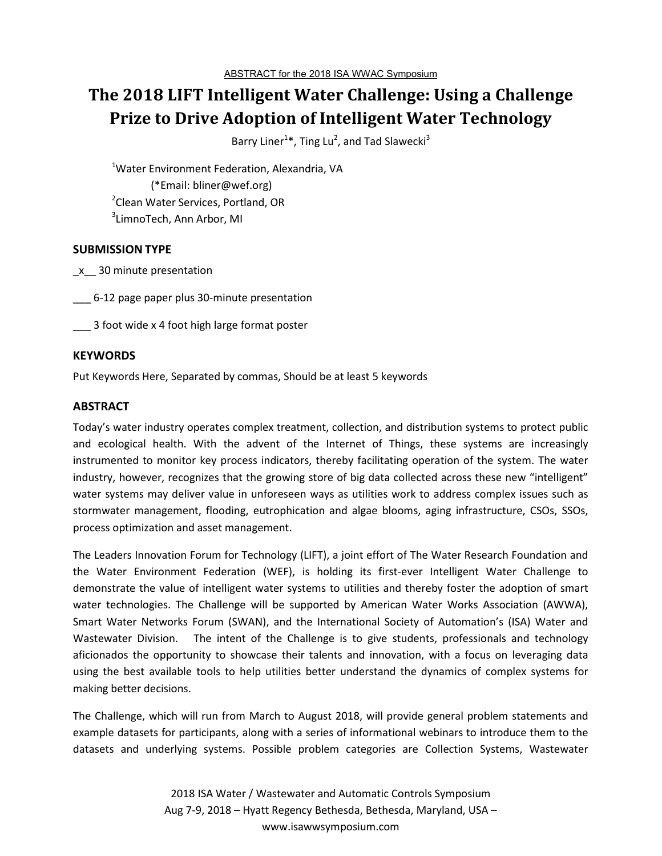# **The 2018 LIFT Intelligent Water Challenge: Using a Challenge Prize to Drive Adoption of Intelligent Water Technology**

Barry Liner<sup>1\*</sup>, Ting Lu<sup>2</sup>, and Tad Slawecki<sup>3</sup>

<sup>1</sup>Water Environment Federation, Alexandria, VA (\*Email: bliner@wef.org) <sup>2</sup>Clean Water Services, Portland, OR  $^3$ LimnoTech, Ann Arbor, MI

### **SUBMISSION TYPE**

\_x\_\_ 30 minute presentation

\_\_\_ 6-12 page paper plus 30-minute presentation

\_\_\_ 3 foot wide x 4 foot high large format poster

#### **KEYWORDS**

Put Keywords Here, Separated by commas, Should be at least 5 keywords

#### **ABSTRACT**

Today's water industry operates complex treatment, collection, and distribution systems to protect public and ecological health. With the advent of the Internet of Things, these systems are increasingly instrumented to monitor key process indicators, thereby facilitating operation of the system. The water industry, however, recognizes that the growing store of big data collected across these new "intelligent" water systems may deliver value in unforeseen ways as utilities work to address complex issues such as stormwater management, flooding, eutrophication and algae blooms, aging infrastructure, CSOs, SSOs, process optimization and asset management.

The Leaders Innovation Forum for Technology (LIFT), a joint effort of The Water Research Foundation and the Water Environment Federation (WEF), is holding its first-ever Intelligent Water Challenge to demonstrate the value of intelligent water systems to utilities and thereby foster the adoption of smart water technologies. The Challenge will be supported by American Water Works Association (AWWA), Smart Water Networks Forum (SWAN), and the International Society of Automation's (ISA) Water and Wastewater Division. The intent of the Challenge is to give students, professionals and technology aficionados the opportunity to showcase their talents and innovation, with a focus on leveraging data using the best available tools to help utilities better understand the dynamics of complex systems for making better decisions.

The Challenge, which will run from March to August 2018, will provide general problem statements and example datasets for participants, along with a series of informational webinars to introduce them to the datasets and underlying systems. Possible problem categories are Collection Systems, Wastewater

> 2018 ISA Water / Wastewater and Automatic Controls Symposium Aug 7-9, 2018 – Hyatt Regency Bethesda, Bethesda, Maryland, USA – www.isawwsymposium.com